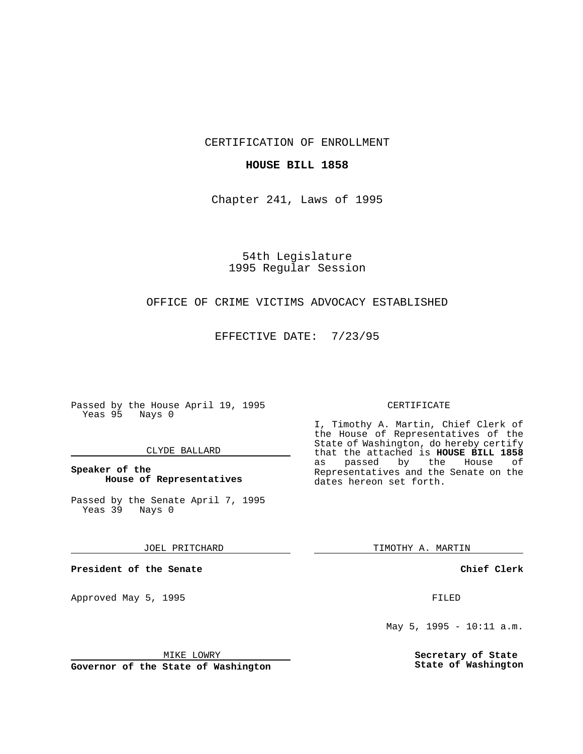CERTIFICATION OF ENROLLMENT

# **HOUSE BILL 1858**

Chapter 241, Laws of 1995

54th Legislature 1995 Regular Session

# OFFICE OF CRIME VICTIMS ADVOCACY ESTABLISHED

EFFECTIVE DATE: 7/23/95

Passed by the House April 19, 1995 Yeas 95 Nays 0

### CLYDE BALLARD

# **Speaker of the House of Representatives**

Passed by the Senate April 7, 1995 Yeas 39 Nays 0

### JOEL PRITCHARD

**President of the Senate**

Approved May 5, 1995 **FILED** 

# MIKE LOWRY

**Governor of the State of Washington**

#### CERTIFICATE

I, Timothy A. Martin, Chief Clerk of the House of Representatives of the State of Washington, do hereby certify that the attached is **HOUSE BILL 1858** as passed by the House of Representatives and the Senate on the dates hereon set forth.

TIMOTHY A. MARTIN

### **Chief Clerk**

May 5, 1995 - 10:11 a.m.

**Secretary of State State of Washington**